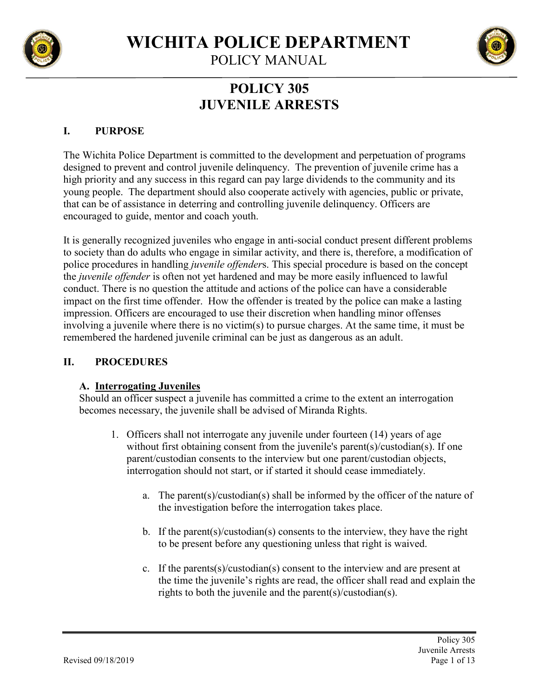

POLICY MANUAL

# **POLICY 305 JUVENILE ARRESTS**

## **I. PURPOSE**

The Wichita Police Department is committed to the development and perpetuation of programs designed to prevent and control juvenile delinquency. The prevention of juvenile crime has a high priority and any success in this regard can pay large dividends to the community and its young people. The department should also cooperate actively with agencies, public or private, that can be of assistance in deterring and controlling juvenile delinquency. Officers are encouraged to guide, mentor and coach youth.

It is generally recognized juveniles who engage in anti-social conduct present different problems to society than do adults who engage in similar activity, and there is, therefore, a modification of police procedures in handling *juvenile offender*s. This special procedure is based on the concept the *juvenile offender* is often not yet hardened and may be more easily influenced to lawful conduct. There is no question the attitude and actions of the police can have a considerable impact on the first time offender. How the offender is treated by the police can make a lasting impression. Officers are encouraged to use their discretion when handling minor offenses involving a juvenile where there is no victim(s) to pursue charges. At the same time, it must be remembered the hardened juvenile criminal can be just as dangerous as an adult.

## **II. PROCEDURES**

# **A. Interrogating Juveniles**

Should an officer suspect a juvenile has committed a crime to the extent an interrogation becomes necessary, the juvenile shall be advised of Miranda Rights.

- 1. Officers shall not interrogate any juvenile under fourteen (14) years of age without first obtaining consent from the juvenile's parent(s)/custodian(s). If one parent/custodian consents to the interview but one parent/custodian objects, interrogation should not start, or if started it should cease immediately.
	- a. The parent(s)/custodian(s) shall be informed by the officer of the nature of the investigation before the interrogation takes place.
	- b. If the parent(s)/custodian(s) consents to the interview, they have the right to be present before any questioning unless that right is waived.
	- c. If the parents(s)/custodian(s) consent to the interview and are present at the time the juvenile's rights are read, the officer shall read and explain the rights to both the juvenile and the parent(s)/custodian(s).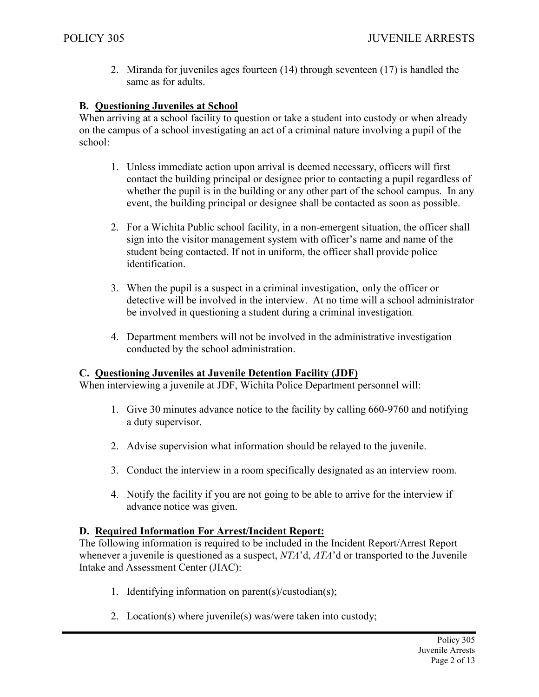2. Miranda for juveniles ages fourteen (14) through seventeen (17) is handled the same as for adults.

## **B. Questioning Juveniles at School**

When arriving at a school facility to question or take a student into custody or when already on the campus of a school investigating an act of a criminal nature involving a pupil of the school:

- 1. Unless immediate action upon arrival is deemed necessary, officers will first contact the building principal or designee prior to contacting a pupil regardless of whether the pupil is in the building or any other part of the school campus. In any event, the building principal or designee shall be contacted as soon as possible.
- 2. For a Wichita Public school facility, in a non-emergent situation, the officer shall sign into the visitor management system with officer's name and name of the student being contacted. If not in uniform, the officer shall provide police identification.
- 3. When the pupil is a suspect in a criminal investigation, only the officer or detective will be involved in the interview. At no time will a school administrator be involved in questioning a student during a criminal investigation.
- 4. Department members will not be involved in the administrative investigation conducted by the school administration.

## **C. Questioning Juveniles at Juvenile Detention Facility (JDF)**

When interviewing a juvenile at JDF, Wichita Police Department personnel will:

- 1. Give 30 minutes advance notice to the facility by calling 660-9760 and notifying a duty supervisor.
- 2. Advise supervision what information should be relayed to the juvenile.
- 3. Conduct the interview in a room specifically designated as an interview room.
- 4. Notify the facility if you are not going to be able to arrive for the interview if advance notice was given.

## **D. Required Information For Arrest/Incident Report:**

The following information is required to be included in the Incident Report/Arrest Report whenever a juvenile is questioned as a suspect, *NTA*'d, *ATA*'d or transported to the Juvenile Intake and Assessment Center (JIAC):

- 1. Identifying information on parent(s)/custodian(s);
- 2. Location(s) where juvenile(s) was/were taken into custody;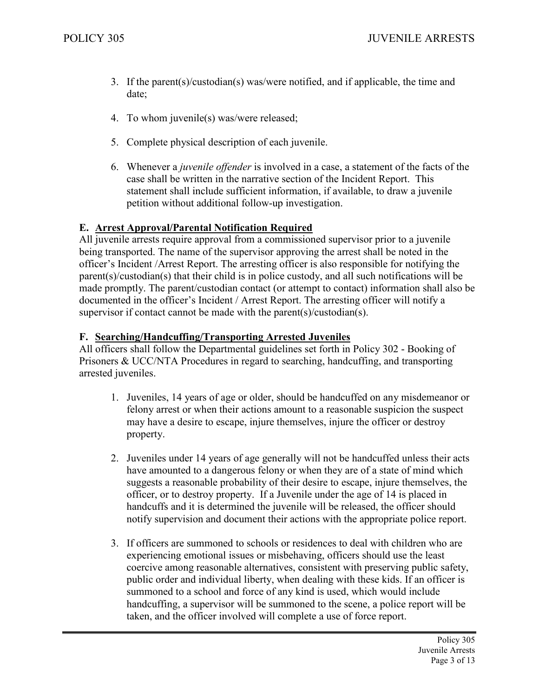- 3. If the parent(s)/custodian(s) was/were notified, and if applicable, the time and date;
- 4. To whom juvenile(s) was/were released;
- 5. Complete physical description of each juvenile.
- 6. Whenever a *juvenile offender* is involved in a case, a statement of the facts of the case shall be written in the narrative section of the Incident Report. This statement shall include sufficient information, if available, to draw a juvenile petition without additional follow-up investigation.

## **E. Arrest Approval/Parental Notification Required**

All juvenile arrests require approval from a commissioned supervisor prior to a juvenile being transported. The name of the supervisor approving the arrest shall be noted in the officer's Incident /Arrest Report. The arresting officer is also responsible for notifying the parent(s)/custodian(s) that their child is in police custody, and all such notifications will be made promptly. The parent/custodian contact (or attempt to contact) information shall also be documented in the officer's Incident / Arrest Report. The arresting officer will notify a supervisor if contact cannot be made with the parent(s)/custodian(s).

#### **F. Searching/Handcuffing/Transporting Arrested Juveniles**

All officers shall follow the Departmental guidelines set forth in Policy 302 - Booking of Prisoners & UCC/NTA Procedures in regard to searching, handcuffing, and transporting arrested juveniles.

- 1. Juveniles, 14 years of age or older, should be handcuffed on any misdemeanor or felony arrest or when their actions amount to a reasonable suspicion the suspect may have a desire to escape, injure themselves, injure the officer or destroy property.
- 2. Juveniles under 14 years of age generally will not be handcuffed unless their acts have amounted to a dangerous felony or when they are of a state of mind which suggests a reasonable probability of their desire to escape, injure themselves, the officer, or to destroy property. If a Juvenile under the age of 14 is placed in handcuffs and it is determined the juvenile will be released, the officer should notify supervision and document their actions with the appropriate police report.
- 3. If officers are summoned to schools or residences to deal with children who are experiencing emotional issues or misbehaving, officers should use the least coercive among reasonable alternatives, consistent with preserving public safety, public order and individual liberty, when dealing with these kids. If an officer is summoned to a school and force of any kind is used, which would include handcuffing, a supervisor will be summoned to the scene, a police report will be taken, and the officer involved will complete a use of force report.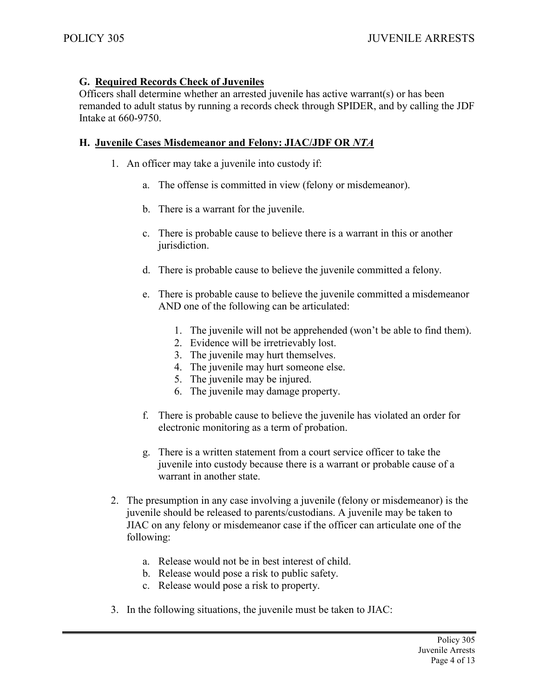## **G. Required Records Check of Juveniles**

Officers shall determine whether an arrested juvenile has active warrant(s) or has been remanded to adult status by running a records check through SPIDER, and by calling the JDF Intake at 660-9750.

#### **H. Juvenile Cases Misdemeanor and Felony: JIAC/JDF OR** *NTA*

- 1. An officer may take a juvenile into custody if:
	- a. The offense is committed in view (felony or misdemeanor).
	- b. There is a warrant for the juvenile.
	- c. There is probable cause to believe there is a warrant in this or another jurisdiction.
	- d. There is probable cause to believe the juvenile committed a felony.
	- e. There is probable cause to believe the juvenile committed a misdemeanor AND one of the following can be articulated:
		- 1. The juvenile will not be apprehended (won't be able to find them).
		- 2. Evidence will be irretrievably lost.
		- 3. The juvenile may hurt themselves.
		- 4. The juvenile may hurt someone else.
		- 5. The juvenile may be injured.
		- 6. The juvenile may damage property.
	- f. There is probable cause to believe the juvenile has violated an order for electronic monitoring as a term of probation.
	- g. There is a written statement from a court service officer to take the juvenile into custody because there is a warrant or probable cause of a warrant in another state.
- 2. The presumption in any case involving a juvenile (felony or misdemeanor) is the juvenile should be released to parents/custodians. A juvenile may be taken to JIAC on any felony or misdemeanor case if the officer can articulate one of the following:
	- a. Release would not be in best interest of child.
	- b. Release would pose a risk to public safety.
	- c. Release would pose a risk to property.
- 3. In the following situations, the juvenile must be taken to JIAC: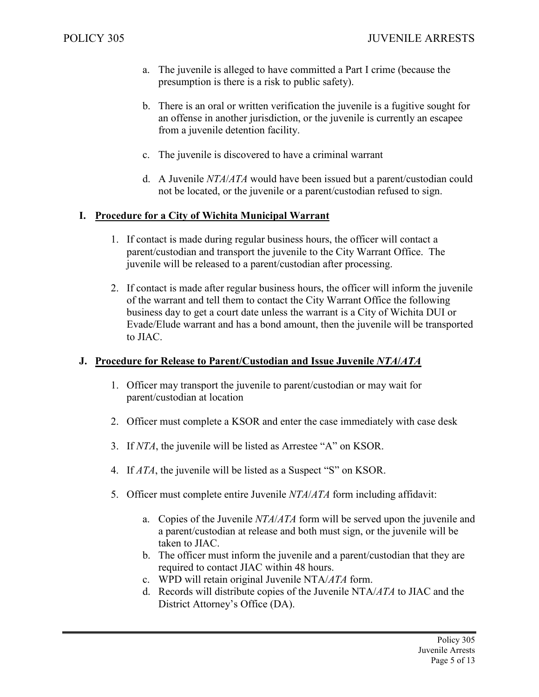- a. The juvenile is alleged to have committed a Part I crime (because the presumption is there is a risk to public safety).
- b. There is an oral or written verification the juvenile is a fugitive sought for an offense in another jurisdiction, or the juvenile is currently an escapee from a juvenile detention facility.
- c. The juvenile is discovered to have a criminal warrant
- d. A Juvenile *NTA*/*ATA* would have been issued but a parent/custodian could not be located, or the juvenile or a parent/custodian refused to sign.

## **I. Procedure for a City of Wichita Municipal Warrant**

- 1. If contact is made during regular business hours, the officer will contact a parent/custodian and transport the juvenile to the City Warrant Office. The juvenile will be released to a parent/custodian after processing.
- 2. If contact is made after regular business hours, the officer will inform the juvenile of the warrant and tell them to contact the City Warrant Office the following business day to get a court date unless the warrant is a City of Wichita DUI or Evade/Elude warrant and has a bond amount, then the juvenile will be transported to JIAC.

## **J. Procedure for Release to Parent/Custodian and Issue Juvenile** *NTA***/***ATA*

- 1. Officer may transport the juvenile to parent/custodian or may wait for parent/custodian at location
- 2. Officer must complete a KSOR and enter the case immediately with case desk
- 3. If *NTA*, the juvenile will be listed as Arrestee "A" on KSOR.
- 4. If *ATA*, the juvenile will be listed as a Suspect "S" on KSOR.
- 5. Officer must complete entire Juvenile *NTA*/*ATA* form including affidavit:
	- a. Copies of the Juvenile *NTA*/*ATA* form will be served upon the juvenile and a parent/custodian at release and both must sign, or the juvenile will be taken to JIAC.
	- b. The officer must inform the juvenile and a parent/custodian that they are required to contact JIAC within 48 hours.
	- c. WPD will retain original Juvenile NTA/*ATA* form.
	- d. Records will distribute copies of the Juvenile NTA/*ATA* to JIAC and the District Attorney's Office (DA).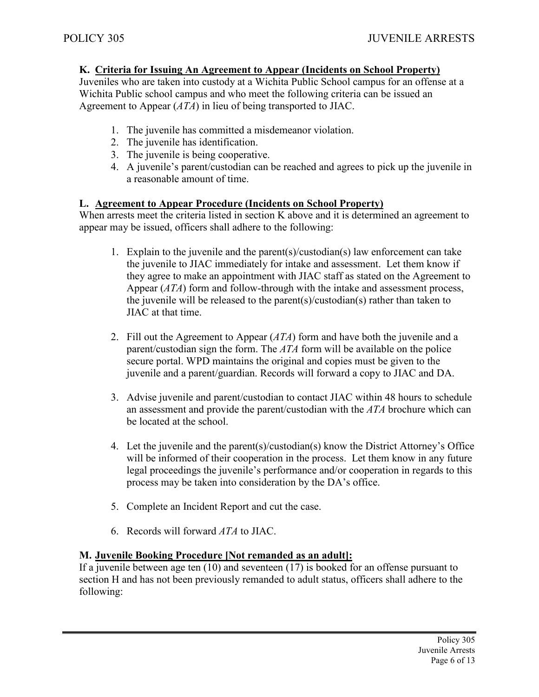## **K. Criteria for Issuing An Agreement to Appear (Incidents on School Property)**

Juveniles who are taken into custody at a Wichita Public School campus for an offense at a Wichita Public school campus and who meet the following criteria can be issued an Agreement to Appear (*ATA*) in lieu of being transported to JIAC.

- 1. The juvenile has committed a misdemeanor violation.
- 2. The juvenile has identification.
- 3. The juvenile is being cooperative.
- 4. A juvenile's parent/custodian can be reached and agrees to pick up the juvenile in a reasonable amount of time.

## **L. Agreement to Appear Procedure (Incidents on School Property)**

When arrests meet the criteria listed in section K above and it is determined an agreement to appear may be issued, officers shall adhere to the following:

- 1. Explain to the juvenile and the parent(s)/custodian(s) law enforcement can take the juvenile to JIAC immediately for intake and assessment. Let them know if they agree to make an appointment with JIAC staff as stated on the Agreement to Appear (*ATA*) form and follow-through with the intake and assessment process, the juvenile will be released to the parent(s)/custodian(s) rather than taken to JIAC at that time.
- 2. Fill out the Agreement to Appear (*ATA*) form and have both the juvenile and a parent/custodian sign the form. The *ATA* form will be available on the police secure portal. WPD maintains the original and copies must be given to the juvenile and a parent/guardian. Records will forward a copy to JIAC and DA.
- 3. Advise juvenile and parent/custodian to contact JIAC within 48 hours to schedule an assessment and provide the parent/custodian with the *ATA* brochure which can be located at the school.
- 4. Let the juvenile and the parent(s)/custodian(s) know the District Attorney's Office will be informed of their cooperation in the process. Let them know in any future legal proceedings the juvenile's performance and/or cooperation in regards to this process may be taken into consideration by the DA's office.
- 5. Complete an Incident Report and cut the case.
- 6. Records will forward *ATA* to JIAC.

## **M. Juvenile Booking Procedure [Not remanded as an adult]:**

If a juvenile between age ten  $(10)$  and seventeen  $(17)$  is booked for an offense pursuant to section H and has not been previously remanded to adult status, officers shall adhere to the following: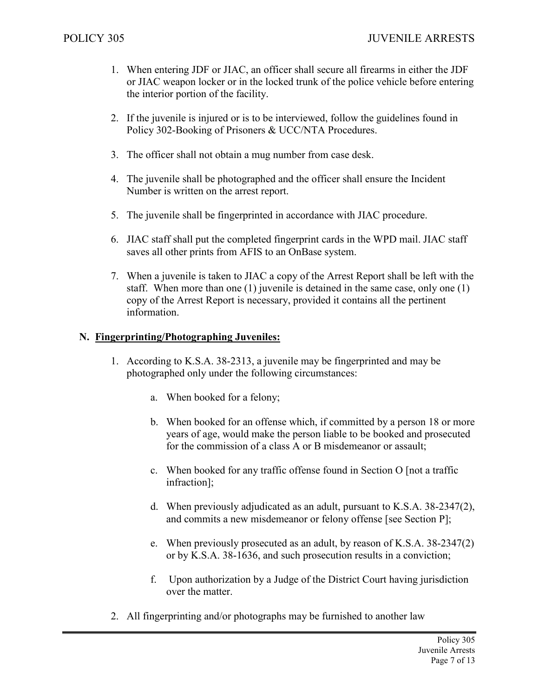- 1. When entering JDF or JIAC, an officer shall secure all firearms in either the JDF or JIAC weapon locker or in the locked trunk of the police vehicle before entering the interior portion of the facility.
- 2. If the juvenile is injured or is to be interviewed, follow the guidelines found in Policy 302-Booking of Prisoners & UCC/NTA Procedures.
- 3. The officer shall not obtain a mug number from case desk.
- 4. The juvenile shall be photographed and the officer shall ensure the Incident Number is written on the arrest report.
- 5. The juvenile shall be fingerprinted in accordance with JIAC procedure.
- 6. JIAC staff shall put the completed fingerprint cards in the WPD mail. JIAC staff saves all other prints from AFIS to an OnBase system.
- 7. When a juvenile is taken to JIAC a copy of the Arrest Report shall be left with the staff. When more than one (1) juvenile is detained in the same case, only one (1) copy of the Arrest Report is necessary, provided it contains all the pertinent information.

#### **N. Fingerprinting/Photographing Juveniles:**

- 1. According to K.S.A. 38-2313, a juvenile may be fingerprinted and may be photographed only under the following circumstances:
	- a. When booked for a felony;
	- b. When booked for an offense which, if committed by a person 18 or more years of age, would make the person liable to be booked and prosecuted for the commission of a class A or B misdemeanor or assault;
	- c. When booked for any traffic offense found in Section O [not a traffic infraction];
	- d. When previously adjudicated as an adult, pursuant to K.S.A. 38-2347(2), and commits a new misdemeanor or felony offense [see Section P];
	- e. When previously prosecuted as an adult, by reason of K.S.A. 38-2347(2) or by K.S.A. 38-1636, and such prosecution results in a conviction;
	- f. Upon authorization by a Judge of the District Court having jurisdiction over the matter.
- 2. All fingerprinting and/or photographs may be furnished to another law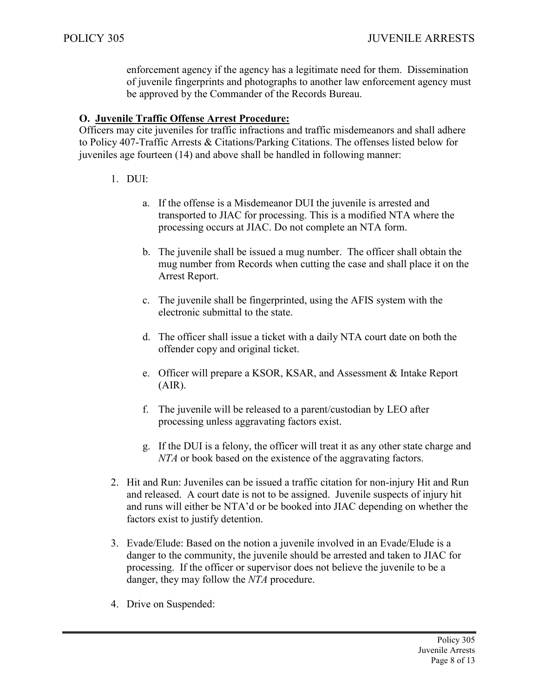enforcement agency if the agency has a legitimate need for them. Dissemination of juvenile fingerprints and photographs to another law enforcement agency must be approved by the Commander of the Records Bureau.

## **O. Juvenile Traffic Offense Arrest Procedure:**

Officers may cite juveniles for traffic infractions and traffic misdemeanors and shall adhere to Policy 407-Traffic Arrests & Citations/Parking Citations. The offenses listed below for juveniles age fourteen (14) and above shall be handled in following manner:

## 1. DUI:

- a. If the offense is a Misdemeanor DUI the juvenile is arrested and transported to JIAC for processing. This is a modified NTA where the processing occurs at JIAC. Do not complete an NTA form.
- b. The juvenile shall be issued a mug number. The officer shall obtain the mug number from Records when cutting the case and shall place it on the Arrest Report.
- c. The juvenile shall be fingerprinted, using the AFIS system with the electronic submittal to the state.
- d. The officer shall issue a ticket with a daily NTA court date on both the offender copy and original ticket.
- e. Officer will prepare a KSOR, KSAR, and Assessment & Intake Report  $(AIR)$ .
- f. The juvenile will be released to a parent/custodian by LEO after processing unless aggravating factors exist.
- g. If the DUI is a felony, the officer will treat it as any other state charge and *NTA* or book based on the existence of the aggravating factors.
- 2. Hit and Run: Juveniles can be issued a traffic citation for non-injury Hit and Run and released. A court date is not to be assigned. Juvenile suspects of injury hit and runs will either be NTA'd or be booked into JIAC depending on whether the factors exist to justify detention.
- 3. Evade/Elude: Based on the notion a juvenile involved in an Evade/Elude is a danger to the community, the juvenile should be arrested and taken to JIAC for processing. If the officer or supervisor does not believe the juvenile to be a danger, they may follow the *NTA* procedure.
- 4. Drive on Suspended: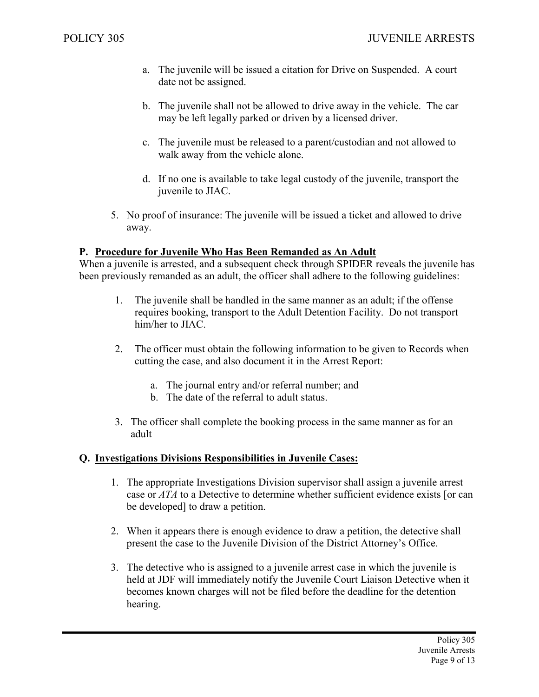- a. The juvenile will be issued a citation for Drive on Suspended. A court date not be assigned.
- b. The juvenile shall not be allowed to drive away in the vehicle. The car may be left legally parked or driven by a licensed driver.
- c. The juvenile must be released to a parent/custodian and not allowed to walk away from the vehicle alone.
- d. If no one is available to take legal custody of the juvenile, transport the juvenile to JIAC.
- 5. No proof of insurance: The juvenile will be issued a ticket and allowed to drive away.

#### **P. Procedure for Juvenile Who Has Been Remanded as An Adult**

When a juvenile is arrested, and a subsequent check through SPIDER reveals the juvenile has been previously remanded as an adult, the officer shall adhere to the following guidelines:

- 1. The juvenile shall be handled in the same manner as an adult; if the offense requires booking, transport to the Adult Detention Facility. Do not transport him/her to JIAC.
- 2. The officer must obtain the following information to be given to Records when cutting the case, and also document it in the Arrest Report:
	- a. The journal entry and/or referral number; and
	- b. The date of the referral to adult status.
- 3. The officer shall complete the booking process in the same manner as for an adult

#### **Q. Investigations Divisions Responsibilities in Juvenile Cases:**

- 1. The appropriate Investigations Division supervisor shall assign a juvenile arrest case or *ATA* to a Detective to determine whether sufficient evidence exists [or can be developed] to draw a petition.
- 2. When it appears there is enough evidence to draw a petition, the detective shall present the case to the Juvenile Division of the District Attorney's Office.
- 3. The detective who is assigned to a juvenile arrest case in which the juvenile is held at JDF will immediately notify the Juvenile Court Liaison Detective when it becomes known charges will not be filed before the deadline for the detention hearing.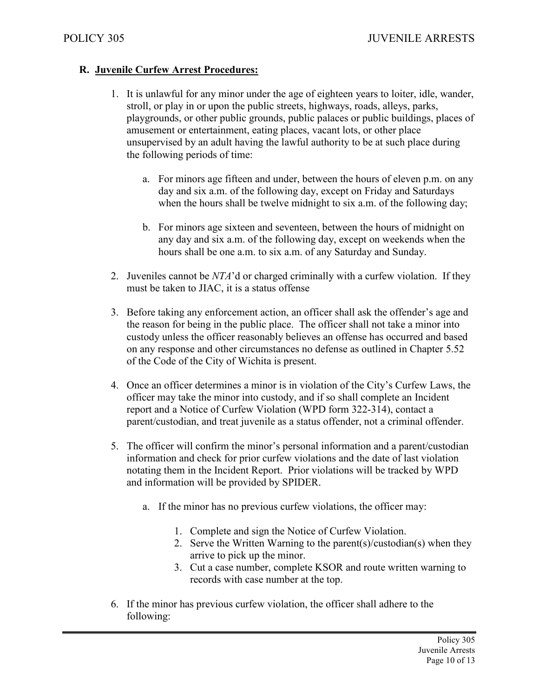## **R. Juvenile Curfew Arrest Procedures:**

- 1. It is unlawful for any minor under the age of eighteen years to loiter, idle, wander, stroll, or play in or upon the public streets, highways, roads, alleys, parks, playgrounds, or other public grounds, public palaces or public buildings, places of amusement or entertainment, eating places, vacant lots, or other place unsupervised by an adult having the lawful authority to be at such place during the following periods of time:
	- a. For minors age fifteen and under, between the hours of eleven p.m. on any day and six a.m. of the following day, except on Friday and Saturdays when the hours shall be twelve midnight to six a.m. of the following day;
	- b. For minors age sixteen and seventeen, between the hours of midnight on any day and six a.m. of the following day, except on weekends when the hours shall be one a.m. to six a.m. of any Saturday and Sunday.
- 2. Juveniles cannot be *NTA*'d or charged criminally with a curfew violation. If they must be taken to JIAC, it is a status offense
- 3. Before taking any enforcement action, an officer shall ask the offender's age and the reason for being in the public place. The officer shall not take a minor into custody unless the officer reasonably believes an offense has occurred and based on any response and other circumstances no defense as outlined in Chapter 5.52 of the Code of the City of Wichita is present.
- 4. Once an officer determines a minor is in violation of the City's Curfew Laws, the officer may take the minor into custody, and if so shall complete an Incident report and a Notice of Curfew Violation (WPD form 322-314), contact a parent/custodian, and treat juvenile as a status offender, not a criminal offender.
- 5. The officer will confirm the minor's personal information and a parent/custodian information and check for prior curfew violations and the date of last violation notating them in the Incident Report. Prior violations will be tracked by WPD and information will be provided by SPIDER.
	- a. If the minor has no previous curfew violations, the officer may:
		- 1. Complete and sign the Notice of Curfew Violation.
		- 2. Serve the Written Warning to the parent(s)/custodian(s) when they arrive to pick up the minor.
		- 3. Cut a case number, complete KSOR and route written warning to records with case number at the top.
- 6. If the minor has previous curfew violation, the officer shall adhere to the following: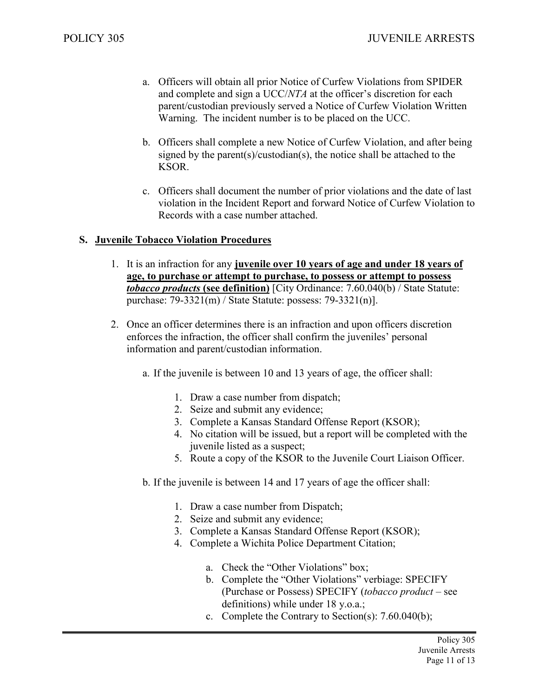- a. Officers will obtain all prior Notice of Curfew Violations from SPIDER and complete and sign a UCC/*NTA* at the officer's discretion for each parent/custodian previously served a Notice of Curfew Violation Written Warning. The incident number is to be placed on the UCC.
- b. Officers shall complete a new Notice of Curfew Violation, and after being signed by the parent(s)/custodian(s), the notice shall be attached to the KSOR.
- c. Officers shall document the number of prior violations and the date of last violation in the Incident Report and forward Notice of Curfew Violation to Records with a case number attached.

## **S. Juvenile Tobacco Violation Procedures**

- 1. It is an infraction for any **juvenile over 10 years of age and under 18 years of age, to purchase or attempt to purchase, to possess or attempt to possess**  *tobacco products* **(see definition)** [City Ordinance: 7.60.040(b) / State Statute: purchase: 79-3321(m) / State Statute: possess: 79-3321(n)].
- 2. Once an officer determines there is an infraction and upon officers discretion enforces the infraction, the officer shall confirm the juveniles' personal information and parent/custodian information.
	- a. If the juvenile is between 10 and 13 years of age, the officer shall:
		- 1. Draw a case number from dispatch;
		- 2. Seize and submit any evidence;
		- 3. Complete a Kansas Standard Offense Report (KSOR);
		- 4. No citation will be issued, but a report will be completed with the juvenile listed as a suspect;
		- 5. Route a copy of the KSOR to the Juvenile Court Liaison Officer.
	- b. If the juvenile is between 14 and 17 years of age the officer shall:
		- 1. Draw a case number from Dispatch;
		- 2. Seize and submit any evidence;
		- 3. Complete a Kansas Standard Offense Report (KSOR);
		- 4. Complete a Wichita Police Department Citation;
			- a. Check the "Other Violations" box;
			- b. Complete the "Other Violations" verbiage: SPECIFY (Purchase or Possess) SPECIFY (*tobacco product* – see definitions) while under 18 y.o.a.;
			- c. Complete the Contrary to Section(s): 7.60.040(b);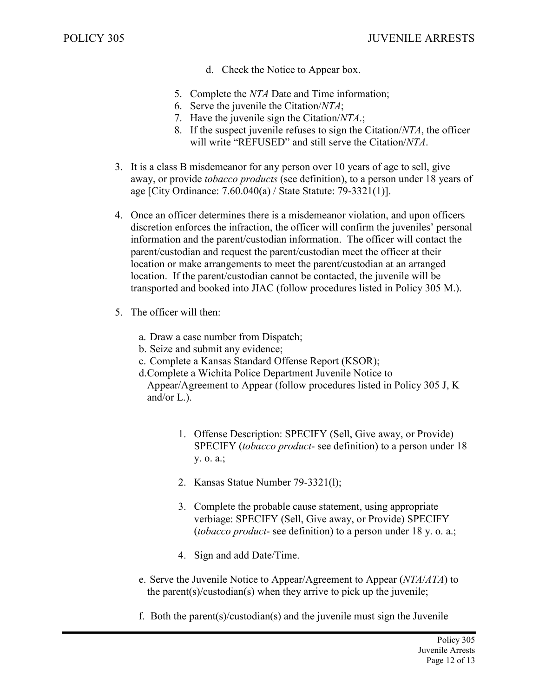- d. Check the Notice to Appear box.
- 5. Complete the *NTA* Date and Time information;
- 6. Serve the juvenile the Citation/*NTA*;
- 7. Have the juvenile sign the Citation/*NTA*.;
- 8. If the suspect juvenile refuses to sign the Citation/*NTA*, the officer will write "REFUSED" and still serve the Citation/*NTA*.
- 3. It is a class B misdemeanor for any person over 10 years of age to sell, give away, or provide *tobacco products* (see definition), to a person under 18 years of age [City Ordinance: 7.60.040(a) / State Statute: 79-3321(1)].
- 4. Once an officer determines there is a misdemeanor violation, and upon officers discretion enforces the infraction, the officer will confirm the juveniles' personal information and the parent/custodian information. The officer will contact the parent/custodian and request the parent/custodian meet the officer at their location or make arrangements to meet the parent/custodian at an arranged location. If the parent/custodian cannot be contacted, the juvenile will be transported and booked into JIAC (follow procedures listed in Policy 305 M.).
- 5. The officer will then:
	- a. Draw a case number from Dispatch;
	- b. Seize and submit any evidence;
	- c. Complete a Kansas Standard Offense Report (KSOR);
	- d.Complete a Wichita Police Department Juvenile Notice to

Appear/Agreement to Appear (follow procedures listed in Policy 305 J, K and/or L.).

- 1. Offense Description: SPECIFY (Sell, Give away, or Provide) SPECIFY (*tobacco product*- see definition) to a person under 18 y. o. a.;
- 2. Kansas Statue Number 79-3321(l);
- 3. Complete the probable cause statement, using appropriate verbiage: SPECIFY (Sell, Give away, or Provide) SPECIFY (*tobacco product*- see definition) to a person under 18 y. o. a.;
- 4. Sign and add Date/Time.
- e. Serve the Juvenile Notice to Appear/Agreement to Appear (*NTA*/*ATA*) to the parent(s)/custodian(s) when they arrive to pick up the juvenile;
- f. Both the parent(s)/custodian(s) and the juvenile must sign the Juvenile